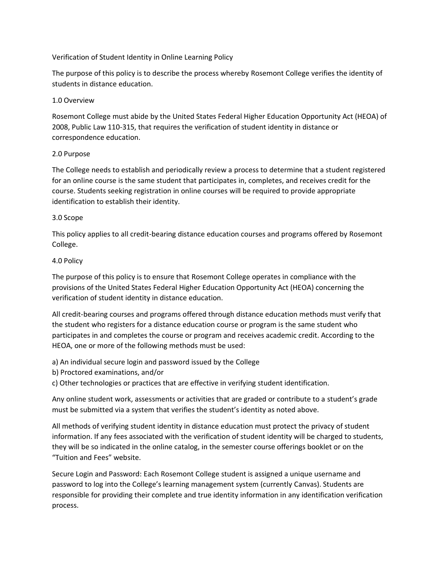# Verification of Student Identity in Online Learning Policy

The purpose of this policy is to describe the process whereby Rosemont College verifies the identity of students in distance education.

# 1.0 Overview

Rosemont College must abide by the United States Federal Higher Education Opportunity Act (HEOA) of 2008, Public Law 110-315, that requires the verification of student identity in distance or correspondence education.

# 2.0 Purpose

The College needs to establish and periodically review a process to determine that a student registered for an online course is the same student that participates in, completes, and receives credit for the course. Students seeking registration in online courses will be required to provide appropriate identification to establish their identity.

# 3.0 Scope

This policy applies to all credit-bearing distance education courses and programs offered by Rosemont College.

# 4.0 Policy

The purpose of this policy is to ensure that Rosemont College operates in compliance with the provisions of the United States Federal Higher Education Opportunity Act (HEOA) concerning the verification of student identity in distance education.

All credit-bearing courses and programs offered through distance education methods must verify that the student who registers for a distance education course or program is the same student who participates in and completes the course or program and receives academic credit. According to the HEOA, one or more of the following methods must be used:

a) An individual secure login and password issued by the College

b) Proctored examinations, and/or

c) Other technologies or practices that are effective in verifying student identification.

Any online student work, assessments or activities that are graded or contribute to a student's grade must be submitted via a system that verifies the student's identity as noted above.

All methods of verifying student identity in distance education must protect the privacy of student information. If any fees associated with the verification of student identity will be charged to students, they will be so indicated in the online catalog, in the semester course offerings booklet or on the "Tuition and Fees" website.

Secure Login and Password: Each Rosemont College student is assigned a unique username and password to log into the College's learning management system (currently Canvas). Students are responsible for providing their complete and true identity information in any identification verification process.